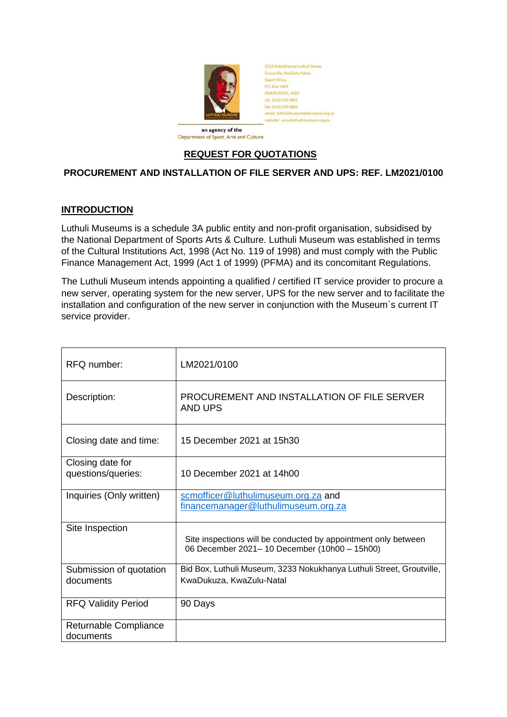

3233 Nokukhanya Luthuli Street Groutville, KwaZulu-Natal South Africa P.O. Box 1869, KWADUKUZA 4450 tel: (032) 559 6822 fax: (032) 559 6806 ail: Juthulimuse  $m, \text{or} \alpha$  za

an agency of the Department of Sport, Arts and Culture

## **REQUEST FOR QUOTATIONS**

## **PROCUREMENT AND INSTALLATION OF FILE SERVER AND UPS: REF. LM2021/0100**

## **INTRODUCTION**

Luthuli Museums is a schedule 3A public entity and non-profit organisation, subsidised by the National Department of Sports Arts & Culture. Luthuli Museum was established in terms of the Cultural Institutions Act, 1998 (Act No. 119 of 1998) and must comply with the Public Finance Management Act, 1999 (Act 1 of 1999) (PFMA) and its concomitant Regulations.

The Luthuli Museum intends appointing a qualified / certified IT service provider to procure a new server, operating system for the new server, UPS for the new server and to facilitate the installation and configuration of the new server in conjunction with the Museum`s current IT service provider.

| RFQ number:                            | LM2021/0100                                                                                                    |
|----------------------------------------|----------------------------------------------------------------------------------------------------------------|
| Description:                           | PROCUREMENT AND INSTALLATION OF FILE SERVER<br>AND UPS                                                         |
| Closing date and time:                 | 15 December 2021 at 15h30                                                                                      |
| Closing date for<br>questions/queries: | 10 December 2021 at 14h00                                                                                      |
| Inquiries (Only written)               | scmofficer@luthulimuseum.org.za and<br>financemanager@luthulimuseum.org.za                                     |
| Site Inspection                        | Site inspections will be conducted by appointment only between<br>06 December 2021-10 December (10h00 - 15h00) |
| Submission of quotation<br>documents   | Bid Box, Luthuli Museum, 3233 Nokukhanya Luthuli Street, Groutville,<br>KwaDukuza, KwaZulu-Natal               |
| <b>RFQ Validity Period</b>             | 90 Days                                                                                                        |
| Returnable Compliance<br>documents     |                                                                                                                |